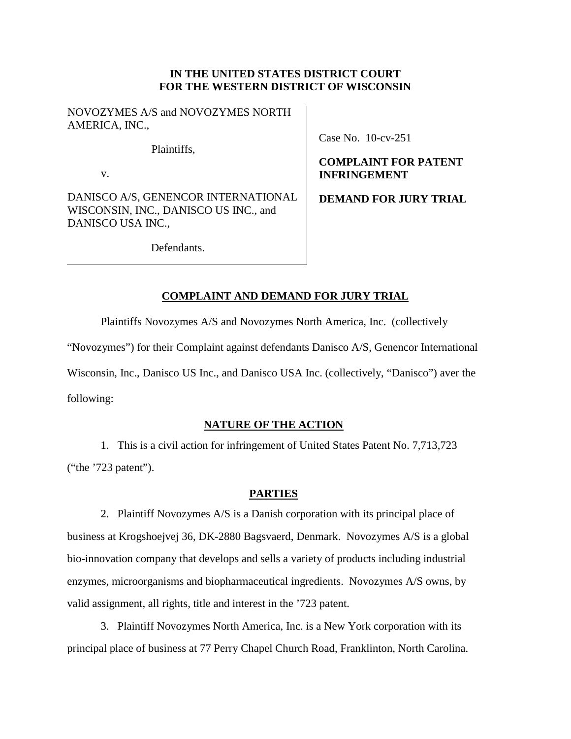### **IN THE UNITED STATES DISTRICT COURT FOR THE WESTERN DISTRICT OF WISCONSIN**

NOVOZYMES A/S and NOVOZYMES NORTH AMERICA, INC.,

Plaintiffs,

v.

DANISCO A/S, GENENCOR INTERNATIONAL WISCONSIN, INC., DANISCO US INC., and DANISCO USA INC.,

Case No. 10-cv-251

## **COMPLAINT FOR PATENT INFRINGEMENT**

**DEMAND FOR JURY TRIAL**

Defendants.

# **COMPLAINT AND DEMAND FOR JURY TRIAL**

Plaintiffs Novozymes A/S and Novozymes North America, Inc. (collectively

"Novozymes") for their Complaint against defendants Danisco A/S, Genencor International

Wisconsin, Inc., Danisco US Inc., and Danisco USA Inc. (collectively, "Danisco") aver the

following:

# **NATURE OF THE ACTION**

1. This is a civil action for infringement of United States Patent No. 7,713,723 ("the '723 patent").

## **PARTIES**

2. Plaintiff Novozymes A/S is a Danish corporation with its principal place of business at Krogshoejvej 36, DK-2880 Bagsvaerd, Denmark. Novozymes A/S is a global bio-innovation company that develops and sells a variety of products including industrial enzymes, microorganisms and biopharmaceutical ingredients. Novozymes A/S owns, by valid assignment, all rights, title and interest in the '723 patent.

3. Plaintiff Novozymes North America, Inc. is a New York corporation with its principal place of business at 77 Perry Chapel Church Road, Franklinton, North Carolina.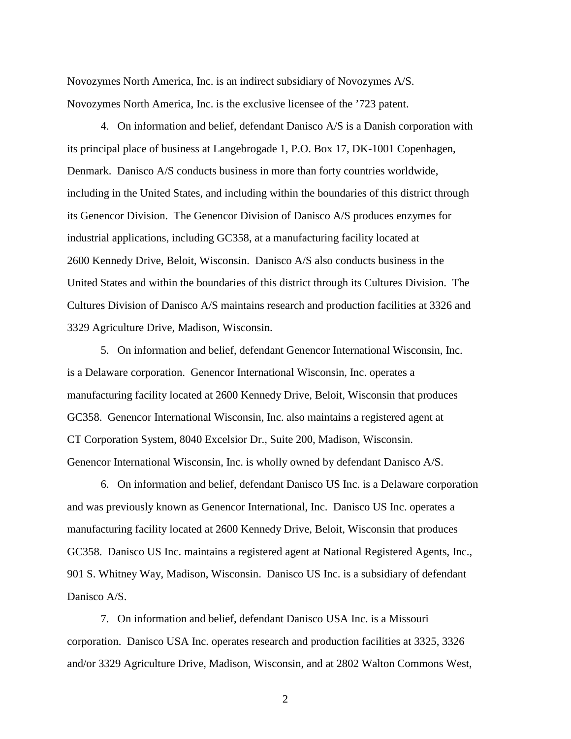Novozymes North America, Inc. is an indirect subsidiary of Novozymes A/S. Novozymes North America, Inc. is the exclusive licensee of the '723 patent.

4. On information and belief, defendant Danisco A/S is a Danish corporation with its principal place of business at Langebrogade 1, P.O. Box 17, DK-1001 Copenhagen, Denmark. Danisco A/S conducts business in more than forty countries worldwide, including in the United States, and including within the boundaries of this district through its Genencor Division. The Genencor Division of Danisco A/S produces enzymes for industrial applications, including GC358, at a manufacturing facility located at 2600 Kennedy Drive, Beloit, Wisconsin. Danisco A/S also conducts business in the United States and within the boundaries of this district through its Cultures Division. The Cultures Division of Danisco A/S maintains research and production facilities at 3326 and 3329 Agriculture Drive, Madison, Wisconsin.

5. On information and belief, defendant Genencor International Wisconsin, Inc. is a Delaware corporation. Genencor International Wisconsin, Inc. operates a manufacturing facility located at 2600 Kennedy Drive, Beloit, Wisconsin that produces GC358. Genencor International Wisconsin, Inc. also maintains a registered agent at CT Corporation System, 8040 Excelsior Dr., Suite 200, Madison, Wisconsin. Genencor International Wisconsin, Inc. is wholly owned by defendant Danisco A/S.

6. On information and belief, defendant Danisco US Inc. is a Delaware corporation and was previously known as Genencor International, Inc. Danisco US Inc. operates a manufacturing facility located at 2600 Kennedy Drive, Beloit, Wisconsin that produces GC358. Danisco US Inc. maintains a registered agent at National Registered Agents, Inc., 901 S. Whitney Way, Madison, Wisconsin. Danisco US Inc. is a subsidiary of defendant Danisco A/S.

7. On information and belief, defendant Danisco USA Inc. is a Missouri corporation. Danisco USA Inc. operates research and production facilities at 3325, 3326 and/or 3329 Agriculture Drive, Madison, Wisconsin, and at 2802 Walton Commons West,

2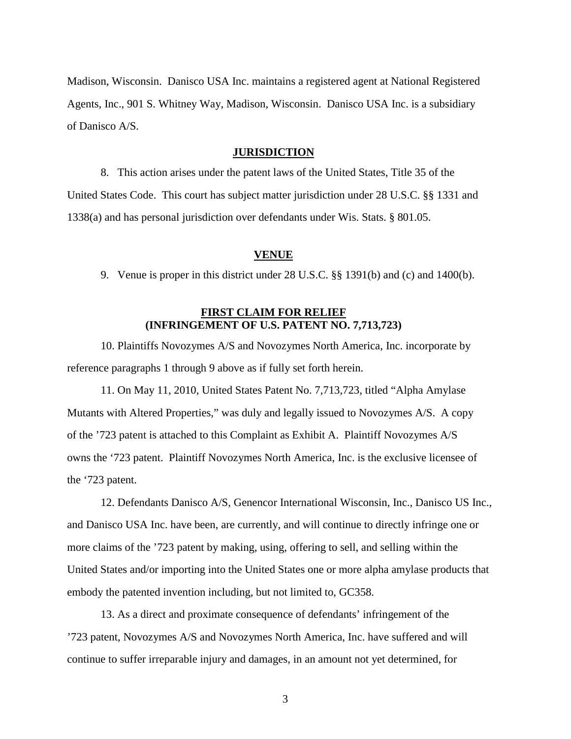Madison, Wisconsin. Danisco USA Inc. maintains a registered agent at National Registered Agents, Inc., 901 S. Whitney Way, Madison, Wisconsin. Danisco USA Inc. is a subsidiary of Danisco A/S.

#### **JURISDICTION**

8. This action arises under the patent laws of the United States, Title 35 of the United States Code. This court has subject matter jurisdiction under 28 U.S.C. §§ 1331 and 1338(a) and has personal jurisdiction over defendants under Wis. Stats. § 801.05.

#### **VENUE**

9. Venue is proper in this district under 28 U.S.C. §§ 1391(b) and (c) and 1400(b).

### **FIRST CLAIM FOR RELIEF (INFRINGEMENT OF U.S. PATENT NO. 7,713,723)**

10. Plaintiffs Novozymes A/S and Novozymes North America, Inc. incorporate by reference paragraphs 1 through 9 above as if fully set forth herein.

11. On May 11, 2010, United States Patent No. 7,713,723, titled "Alpha Amylase Mutants with Altered Properties," was duly and legally issued to Novozymes A/S. A copy of the '723 patent is attached to this Complaint as Exhibit A. Plaintiff Novozymes A/S owns the '723 patent. Plaintiff Novozymes North America, Inc. is the exclusive licensee of the '723 patent.

12. Defendants Danisco A/S, Genencor International Wisconsin, Inc., Danisco US Inc., and Danisco USA Inc. have been, are currently, and will continue to directly infringe one or more claims of the '723 patent by making, using, offering to sell, and selling within the United States and/or importing into the United States one or more alpha amylase products that embody the patented invention including, but not limited to, GC358.

13. As a direct and proximate consequence of defendants' infringement of the '723 patent, Novozymes A/S and Novozymes North America, Inc. have suffered and will continue to suffer irreparable injury and damages, in an amount not yet determined, for

3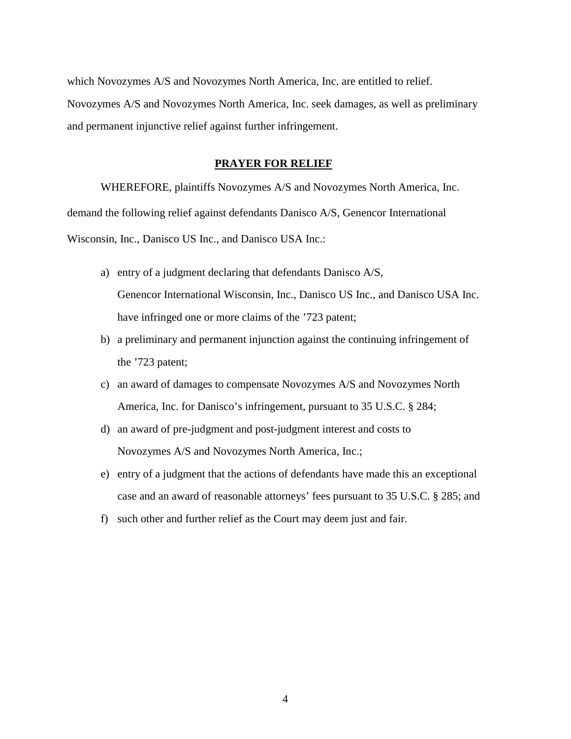which Novozymes A/S and Novozymes North America, Inc. are entitled to relief. Novozymes A/S and Novozymes North America, Inc. seek damages, as well as preliminary and permanent injunctive relief against further infringement.

#### **PRAYER FOR RELIEF**

WHEREFORE, plaintiffs Novozymes A/S and Novozymes North America, Inc. demand the following relief against defendants Danisco A/S, Genencor International Wisconsin, Inc., Danisco US Inc., and Danisco USA Inc.:

- a) entry of a judgment declaring that defendants Danisco A/S, Genencor International Wisconsin, Inc., Danisco US Inc., and Danisco USA Inc. have infringed one or more claims of the '723 patent;
- b) a preliminary and permanent injunction against the continuing infringement of the '723 patent;
- c) an award of damages to compensate Novozymes A/S and Novozymes North America, Inc. for Danisco's infringement, pursuant to 35 U.S.C. § 284;
- d) an award of pre-judgment and post-judgment interest and costs to Novozymes A/S and Novozymes North America, Inc.;
- e) entry of a judgment that the actions of defendants have made this an exceptional case and an award of reasonable attorneys' fees pursuant to 35 U.S.C. § 285; and
- f) such other and further relief as the Court may deem just and fair.